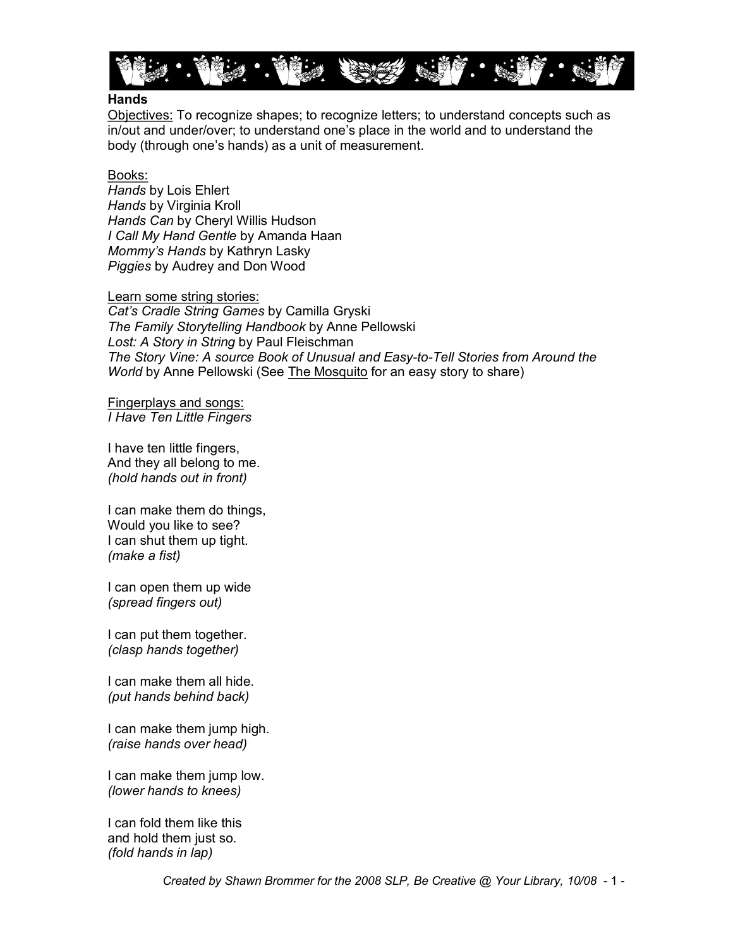

#### **Hands**

Objectives: To recognize shapes; to recognize letters; to understand concepts such as in/out and under/over; to understand one's place in the world and to understand the body (through one's hands) as a unit of measurement.

Books:

*Hands* by Lois Ehlert *Hands* by Virginia Kroll *Hands Can* by Cheryl Willis Hudson *I Call My Hand Gentle* by Amanda Haan *Mommy's Hands* by Kathryn Lasky *Piggies* by Audrey and Don Wood

Learn some string stories: *Cat's Cradle String Games* by Camilla Gryski *The Family Storytelling Handbook* by Anne Pellowski

*Lost: A Story in String* by Paul Fleischman *The Story Vine: A source Book of Unusual and Easy-to-Tell Stories from Around the World* by Anne Pellowski (See The Mosquito for an easy story to share)

Fingerplays and songs: *I Have Ten Little Fingers*

I have ten little fingers, And they all belong to me. *(hold hands out in front)*

I can make them do things, Would you like to see? I can shut them up tight. *(make a fist)*

I can open them up wide *(spread fingers out)*

I can put them together. *(clasp hands together)*

I can make them all hide. *(put hands behind back)*

I can make them jump high. *(raise hands over head)*

I can make them jump low. *(lower hands to knees)*

I can fold them like this and hold them just so. *(fold hands in lap)*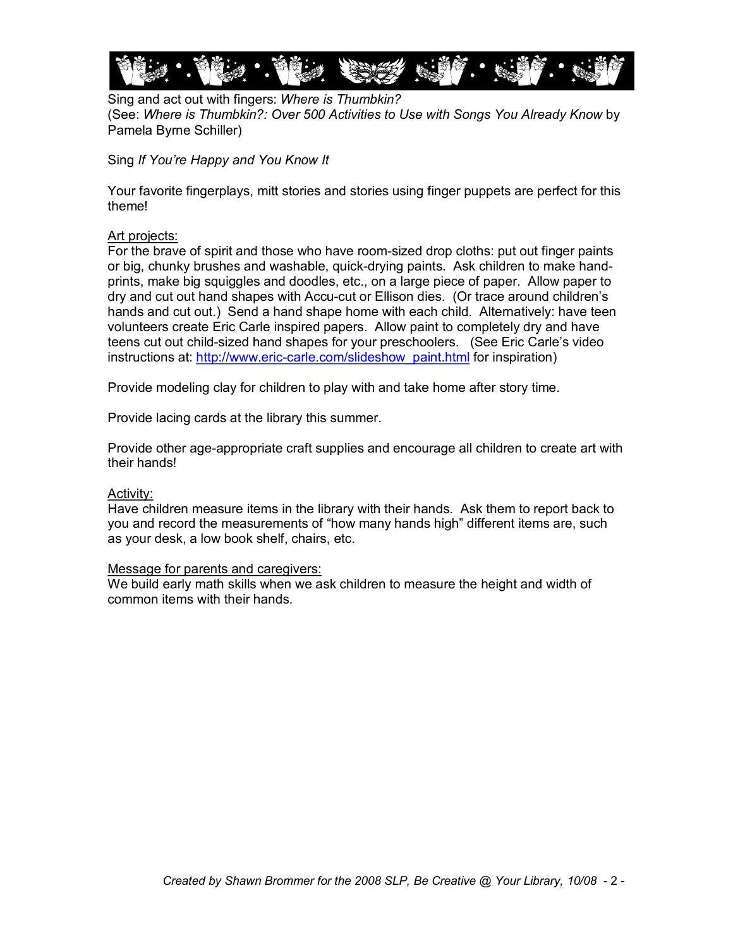

Sing and act out with fingers: *Where is Thumbkin?* (See: *Where is Thumbkin?: Over 500 Activities to Use with Songs You Already Know* by Pamela Byrne Schiller)

Sing *If You're Happy and You Know It*

Your favorite fingerplays, mitt stories and stories using finger puppets are perfect for this theme!

#### Art projects:

For the brave of spirit and those who have roomsized drop cloths: put out finger paints or big, chunky brushes and washable, quick-drying paints. Ask children to make handprints, make big squiggles and doodles, etc., on a large piece of paper. Allow paper to dry and cut out hand shapes with Accu-cut or Ellison dies. (Or trace around children's hands and cut out.) Send a hand shape home with each child. Alternatively: have teen volunteers create Eric Carle inspired papers. Allow paint to completely dry and have teens cut out child-sized hand shapes for your preschoolers. (See Eric Carle's video instructions at: http://www.eric-carle.com/slideshow\_paint.html for inspiration)

Provide modeling clay for children to play with and take home after story time.

Provide lacing cards at the library this summer.

Provide other age-appropriate craft supplies and encourage all children to create art with their hands!

#### Activity:

Have children measure items in the library with their hands. Ask them to report back to you and record the measurements of "how many hands high" different items are, such as your desk, a low book shelf, chairs, etc.

#### Message for parents and caregivers:

We build early math skills when we ask children to measure the height and width of common items with their hands.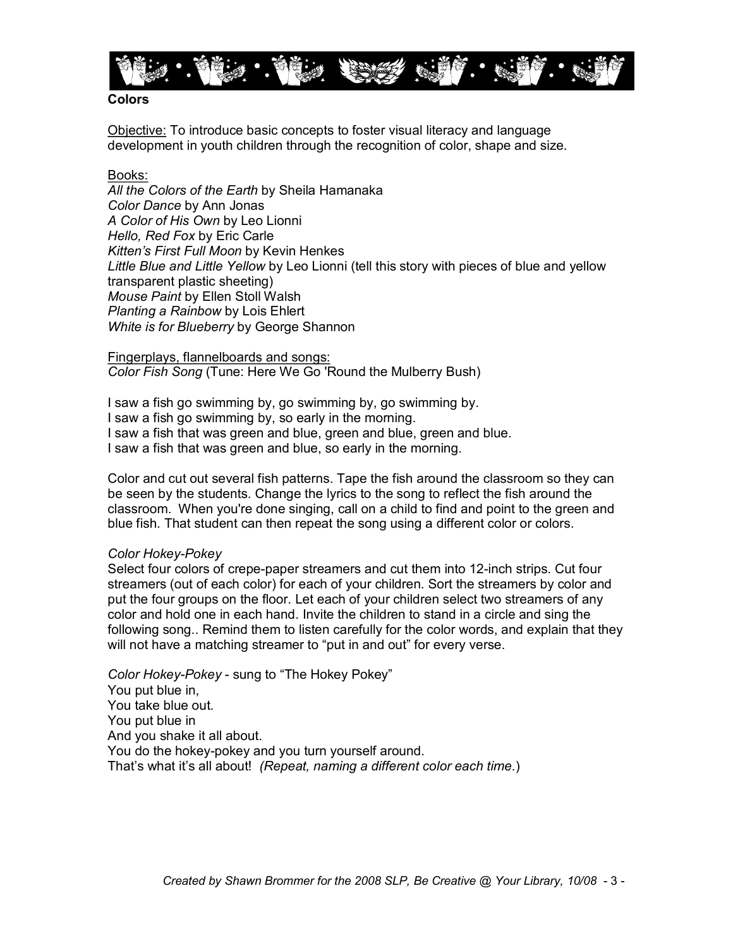

#### **Colors**

Objective: To introduce basic concepts to foster visual literacy and language development in youth children through the recognition of color, shape and size.

#### Books:

*All the Colors of the Earth* by Sheila Hamanaka *Color Dance* by Ann Jonas *A Color of His Own* by Leo Lionni *Hello, Red Fox* by Eric Carle *Kitten's First Full Moon* by Kevin Henkes *Little Blue and Little Yellow* by Leo Lionni (tell this story with pieces of blue and yellow transparent plastic sheeting) *Mouse Paint* by Ellen Stoll Walsh *Planting a Rainbow* by Lois Ehlert *White is for Blueberry* by George Shannon

Fingerplays, flannelboards and songs: *Color Fish Song* (Tune: Here We Go 'Round the Mulberry Bush)

I saw a fish go swimming by, go swimming by, go swimming by. I saw a fish go swimming by, so early in the morning. I saw a fish that was green and blue, green and blue, green and blue. I saw a fish that was green and blue, so early in the morning.

Color and cut out several fish patterns. Tape the fish around the classroom so they can be seen by the students. Change the lyrics to the song to reflect the fish around the classroom. When you're done singing, call on a child to find and point to the green and blue fish. That student can then repeat the song using a different color or colors.

#### *Color Hokey-Pokey*

Select four colors of crepe-paper streamers and cut them into 12-inch strips. Cut four streamers (out of each color) for each of your children. Sort the streamers by color and put the four groups on the floor. Let each of your children select two streamers of any color and hold one in each hand. Invite the children to stand in a circle and sing the following song.. Remind them to listen carefully for the color words, and explain that they will not have a matching streamer to "put in and out" for every verse.

*Color Hokey-Pokey* - sung to "The Hokey Pokey" You put blue in, You take blue out. You put blue in And you shake it all about. You do the hokey-pokey and you turn yourself around. That's what it's all about! *(Repeat, naming a different color each time.*)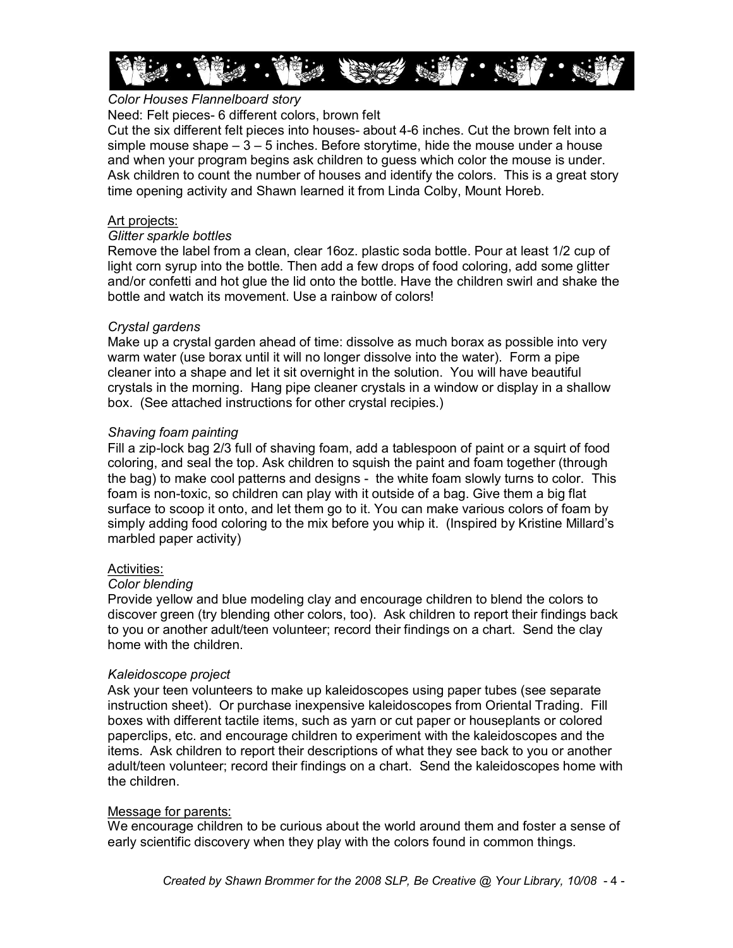

# *Color Houses Flannelboard story*

#### Need: Felt pieces- 6 different colors, brown felt

Cut the six different felt pieces into houses about 46 inches. Cut the brown felt into a simple mouse shape  $-3 - 5$  inches. Before storytime, hide the mouse under a house and when your program begins ask children to guess which color the mouse is under. Ask children to count the number of houses and identify the colors. This is a great story time opening activity and Shawn learned it from Linda Colby, Mount Horeb.

#### Art projects:

#### *Glitter sparkle bottles*

Remove the label from a clean, clear 16oz. plastic soda bottle. Pour at least 1/2 cup of light corn syrup into the bottle. Then add a few drops of food coloring, add some glitter and/or confetti and hot glue the lid onto the bottle. Have the children swirl and shake the bottle and watch its movement. Use a rainbow of colors!

#### *Crystal gardens*

Make up a crystal garden ahead of time: dissolve as much borax as possible into very warm water (use borax until it will no longer dissolve into the water). Form a pipe cleaner into a shape and let it sit overnight in the solution. You will have beautiful crystals in the morning. Hang pipe cleaner crystals in a window or display in a shallow box. (See attached instructions for other crystal recipies.)

#### *Shaving foam painting*

Fill a zip-lock bag 2/3 full of shaving foam, add a tablespoon of paint or a squirt of food coloring, and seal the top. Ask children to squish the paint and foam together (through the bag) to make cool patterns and designs - the white foam slowly turns to color. This foam is non-toxic, so children can play with it outside of a bag. Give them a big flat surface to scoop it onto, and let them go to it. You can make various colors of foam by simply adding food coloring to the mix before you whip it. (Inspired by Kristine Millard's marbled paper activity)

#### Activities:

#### *Color blending*

Provide yellow and blue modeling clay and encourage children to blend the colors to discover green (try blending other colors, too). Ask children to report their findings back to you or another adult/teen volunteer; record their findings on a chart. Send the clay home with the children.

#### *Kaleidoscope project*

Ask your teen volunteers to make up kaleidoscopes using paper tubes (see separate instruction sheet). Or purchase inexpensive kaleidoscopes from Oriental Trading. Fill boxes with different tactile items, such as yarn or cut paper or houseplants or colored paperclips, etc. and encourage children to experiment with the kaleidoscopes and the items. Ask children to report their descriptions of what they see back to you or another adult/teen volunteer; record their findings on a chart. Send the kaleidoscopes home with the children.

#### Message for parents:

We encourage children to be curious about the world around them and foster a sense of early scientific discovery when they play with the colors found in common things.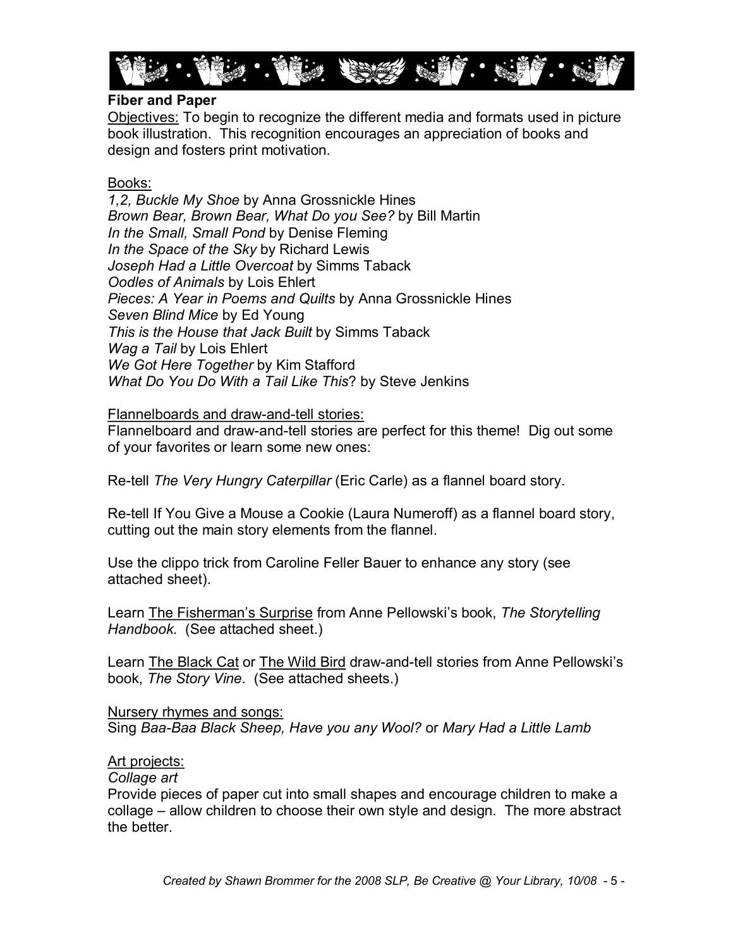

# **Fiber and Paper**

Objectives: To begin to recognize the different media and formats used in picture book illustration. This recognition encourages an appreciation of books and design and fosters print motivation.

# Books:

*1,2, Buckle My Shoe* by Anna Grossnickle Hines *Brown Bear, Brown Bear, What Do you See?* by Bill Martin *In the Small, Small Pond* by Denise Fleming *In the Space of the Sky* by Richard Lewis *Joseph Had a Little Overcoat* by Simms Taback *Oodles of Animals* by Lois Ehlert *Pieces: A Year in Poems and Quilts* by Anna Grossnickle Hines *Seven Blind Mice* by Ed Young *This is the House that Jack Built* by Simms Taback *Wag a Tail* by Lois Ehlert *We Got Here Together* by Kim Stafford *What Do You Do With a Tail Like This*? by Steve Jenkins

# Flannelboards and draw-and-tell stories:

Flannelboard and draw-and-tell stories are perfect for this theme! Dig out some of your favorites or learn some new ones:

Re-tell *The Very Hungry Caterpillar* (Eric Carle) as a flannel board story.

Re-tell If You Give a Mouse a Cookie (Laura Numeroff) as a flannel board story, cutting out the main story elements from the flannel.

Use the clippo trick from Caroline Feller Bauer to enhance any story (see attached sheet).

Learn The Fisherman's Surprise from Anne Pellowski's book, *The Storytelling Handbook.* (See attached sheet.)

Learn The Black Cat or The Wild Bird draw-and-tell stories from Anne Pellowski's book, *The Story Vine*. (See attached sheets.)

# Nursery rhymes and songs:

Sing *BaaBaa Black Sheep, Have you any Wool?* or *Mary Had a Little Lamb*

# Art projects:

*Collage art*

Provide pieces of paper cut into small shapes and encourage children to make a collage – allow children to choose their own style and design. The more abstract the better.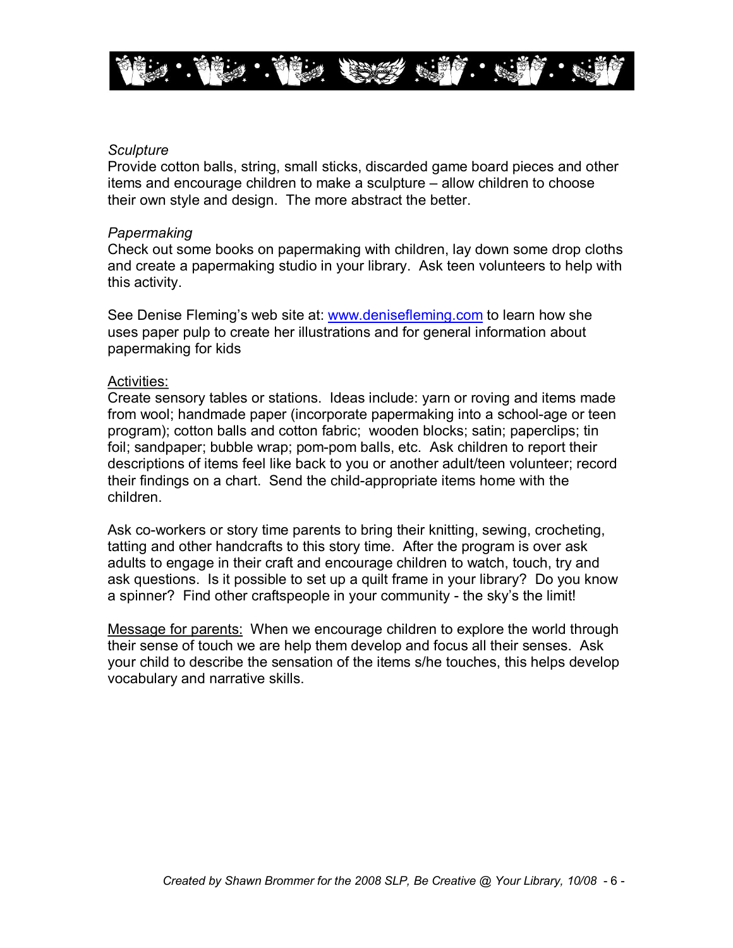

#### *Sculpture*

Provide cotton balls, string, small sticks, discarded game board pieces and other items and encourage children to make a sculpture – allow children to choose their own style and design. The more abstract the better.

#### *Papermaking*

Check out some books on papermaking with children, lay down some drop cloths and create a papermaking studio in your library. Ask teen volunteers to help with this activity.

See Denise Fleming's web site at: [www.denisefleming.com](http://www.denisefleming.com/) to learn how she uses paper pulp to create her illustrations and for general information about papermaking for kids

#### Activities:

Create sensory tables or stations. Ideas include: yarn or roving and items made from wool; handmade paper (incorporate papermaking into a school-age or teen program); cotton balls and cotton fabric; wooden blocks; satin; paperclips; tin foil; sandpaper; bubble wrap; pom-pom balls, etc. Ask children to report their descriptions of items feel like back to you or another adult/teen volunteer; record their findings on a chart. Send the child-appropriate items home with the children.

Ask co-workers or story time parents to bring their knitting, sewing, crocheting, tatting and other handcrafts to this story time. After the program is over ask adults to engage in their craft and encourage children to watch, touch, try and ask questions. Is it possible to set up a quilt frame in your library? Do you know a spinner? Find other craftspeople in your community - the sky's the limit!

Message for parents: When we encourage children to explore the world through their sense of touch we are help them develop and focus all their senses. Ask your child to describe the sensation of the items s/he touches, this helps develop vocabulary and narrative skills.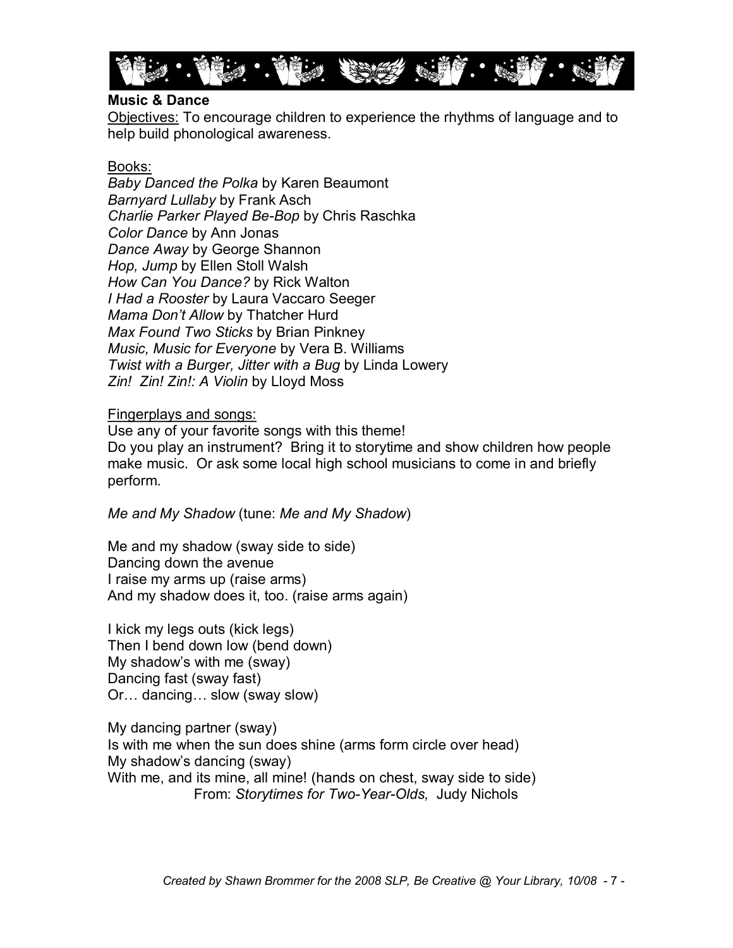

### **Music & Dance**

Objectives: To encourage children to experience the rhythms of language and to help build phonological awareness.

### Books:

*Baby Danced the Polka* by Karen Beaumont *Barnyard Lullaby* by Frank Asch *Charlie Parker Played Be-Bop by Chris Raschka Color Dance* by Ann Jonas *Dance Away* by George Shannon *Hop, Jump* by Ellen Stoll Walsh *How Can You Dance?* by Rick Walton *I Had a Rooster* by Laura Vaccaro Seeger *Mama Don't Allow* by Thatcher Hurd *Max Found Two Sticks* by Brian Pinkney *Music, Music for Everyone* by Vera B. Williams *Twist with a Burger, Jitter with a Bug* by Linda Lowery *Zin! Zin! Zin!: A Violin* by Lloyd Moss

### Fingerplays and songs:

Use any of your favorite songs with this theme! Do you play an instrument? Bring it to storytime and show children how people make music. Or ask some local high school musicians to come in and briefly perform.

*Me and My Shadow* (tune: *Me and My Shadow*)

Me and my shadow (sway side to side) Dancing down the avenue I raise my arms up (raise arms) And my shadow does it, too. (raise arms again)

I kick my legs outs (kick legs) Then I bend down low (bend down) My shadow's with me (sway) Dancing fast (sway fast) Or… dancing… slow (sway slow)

My dancing partner (sway) Is with me when the sun does shine (arms form circle over head) My shadow's dancing (sway) With me, and its mine, all mine! (hands on chest, sway side to side) From: Storytimes for Two-Year-Olds, Judy Nichols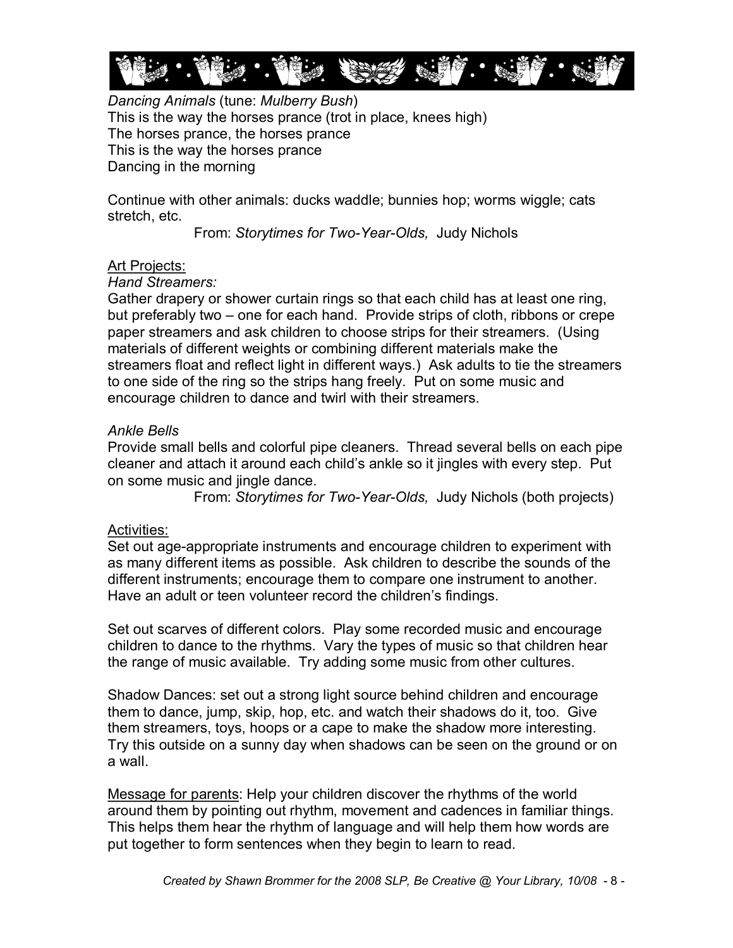

*Dancing Animals* (tune: *Mulberry Bush*) This is the way the horses prance (trot in place, knees high) The horses prance, the horses prance This is the way the horses prance Dancing in the morning

Continue with other animals: ducks waddle; bunnies hop; worms wiggle; cats stretch, etc.

From: Storytimes for Two-Year-Olds, Judy Nichols

# Art Projects:

# *Hand Streamers:*

Gather drapery or shower curtain rings so that each child has at least one ring, but preferably two – one for each hand. Provide strips of cloth, ribbons or crepe paper streamers and ask children to choose strips for their streamers. (Using materials of different weights or combining different materials make the streamers float and reflect light in different ways.) Ask adults to tie the streamers to one side of the ring so the strips hang freely. Put on some music and encourage children to dance and twirl with their streamers.

# *Ankle Bells*

Provide small bells and colorful pipe cleaners. Thread several bells on each pipe cleaner and attach it around each child's ankle so it jingles with every step. Put on some music and jingle dance.

From: *Storytimes for Two-Year-Olds*, Judy Nichols (both projects)

# Activities:

Set out age-appropriate instruments and encourage children to experiment with as many different items as possible. Ask children to describe the sounds of the different instruments; encourage them to compare one instrument to another. Have an adult or teen volunteer record the children's findings.

Set out scarves of different colors. Play some recorded music and encourage children to dance to the rhythms. Vary the types of music so that children hear the range of music available. Try adding some music from other cultures.

Shadow Dances: set out a strong light source behind children and encourage them to dance, jump, skip, hop, etc. and watch their shadows do it, too. Give them streamers, toys, hoops or a cape to make the shadow more interesting. Try this outside on a sunny day when shadows can be seen on the ground or on a wall.

Message for parents: Help your children discover the rhythms of the world around them by pointing out rhythm, movement and cadences in familiar things. This helps them hear the rhythm of language and will help them how words are put together to form sentences when they begin to learn to read.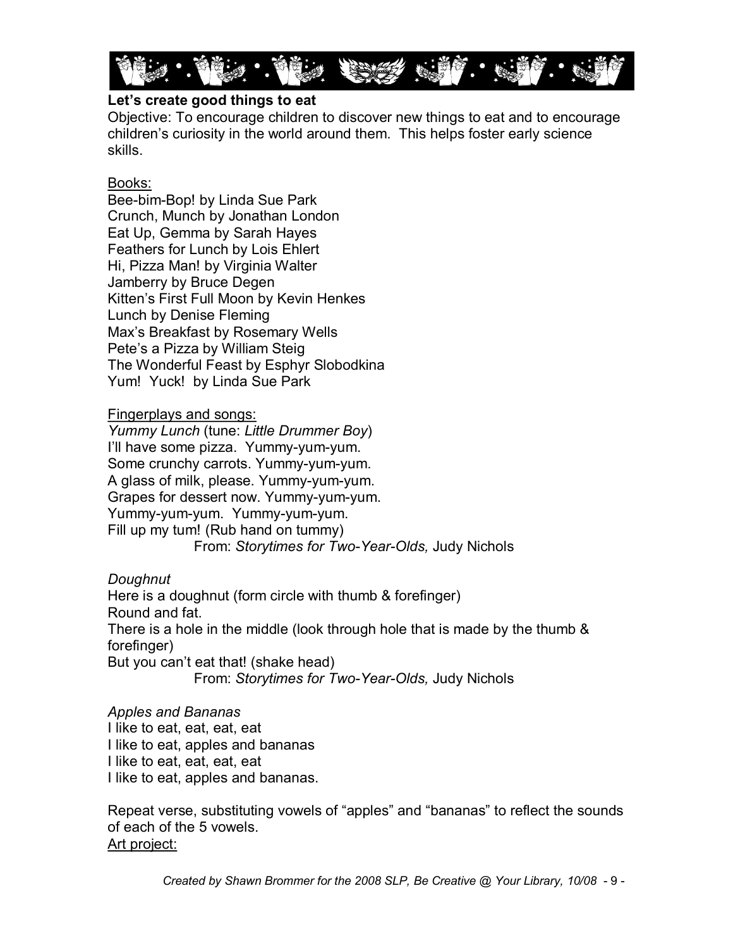

# **Let's create good things to eat**

Objective: To encourage children to discover new things to eat and to encourage children's curiosity in the world around them. This helps foster early science skills.

# Books:

Bee-bim-Bop! by Linda Sue Park Crunch, Munch by Jonathan London Eat Up, Gemma by Sarah Hayes Feathers for Lunch by Lois Ehlert Hi, Pizza Man! by Virginia Walter Jamberry by Bruce Degen Kitten's First Full Moon by Kevin Henkes Lunch by Denise Fleming Max's Breakfast by Rosemary Wells Pete's a Pizza by William Steig The Wonderful Feast by Esphyr Slobodkina Yum! Yuck! by Linda Sue Park

# Fingerplays and songs:

*Yummy Lunch* (tune: *Little Drummer Boy*) I'll have some pizza. Yummy-yum-yum. Some crunchy carrots. Yummy-yum-yum. A glass of milk, please. Yummy-yum-yum. Grapes for dessert now. Yummy-yum-yum. Yummy-yum-yum. Yummy-yum-yum. Fill up my tum! (Rub hand on tummy) From: Storytimes for Two-Year-Olds, Judy Nichols

# *Doughnut*

Here is a doughnut (form circle with thumb & forefinger) Round and fat. There is a hole in the middle (look through hole that is made by the thumb & forefinger) But you can't eat that! (shake head)

From: Storytimes for Two-Year-Olds, Judy Nichols

# *Apples and Bananas*

I like to eat, eat, eat, eat I like to eat, apples and bananas I like to eat, eat, eat, eat I like to eat, apples and bananas.

Repeat verse, substituting vowels of "apples" and "bananas" to reflect the sounds of each of the 5 vowels. Art project: